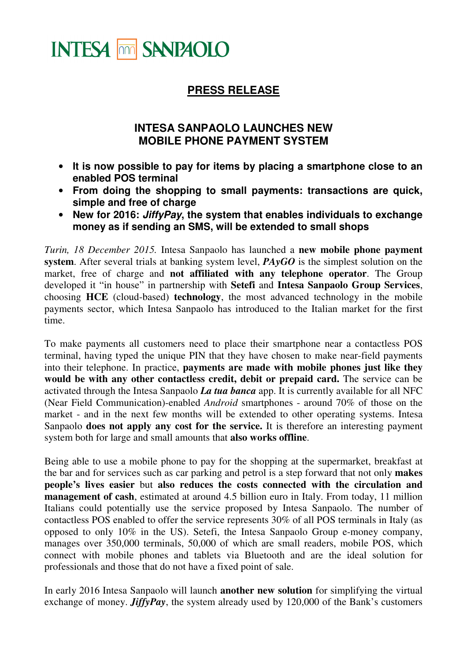

## **PRESS RELEASE**

## **INTESA SANPAOLO LAUNCHES NEW MOBILE PHONE PAYMENT SYSTEM**

- **It is now possible to pay for items by placing a smartphone close to an enabled POS terminal**
- **From doing the shopping to small payments: transactions are quick, simple and free of charge**
- **New for 2016: JiffyPay, the system that enables individuals to exchange money as if sending an SMS, will be extended to small shops**

*Turin, 18 December 2015.* Intesa Sanpaolo has launched a **new mobile phone payment system**. After several trials at banking system level, *PAyGO* is the simplest solution on the market, free of charge and **not affiliated with any telephone operator**. The Group developed it "in house" in partnership with **Setefi** and **Intesa Sanpaolo Group Services**, choosing **HCE** (cloud-based) **technology**, the most advanced technology in the mobile payments sector, which Intesa Sanpaolo has introduced to the Italian market for the first time.

To make payments all customers need to place their smartphone near a contactless POS terminal, having typed the unique PIN that they have chosen to make near-field payments into their telephone. In practice, **payments are made with mobile phones just like they would be with any other contactless credit, debit or prepaid card.** The service can be activated through the Intesa Sanpaolo *La tua banca* app. It is currently available for all NFC (Near Field Communication)-enabled *Android* smartphones - around 70% of those on the market - and in the next few months will be extended to other operating systems. Intesa Sanpaolo **does not apply any cost for the service.** It is therefore an interesting payment system both for large and small amounts that **also works offline**.

Being able to use a mobile phone to pay for the shopping at the supermarket, breakfast at the bar and for services such as car parking and petrol is a step forward that not only **makes people's lives easier** but **also reduces the costs connected with the circulation and management of cash**, estimated at around 4.5 billion euro in Italy. From today, 11 million Italians could potentially use the service proposed by Intesa Sanpaolo. The number of contactless POS enabled to offer the service represents 30% of all POS terminals in Italy (as opposed to only 10% in the US). Setefi, the Intesa Sanpaolo Group e-money company, manages over 350,000 terminals, 50,000 of which are small readers, mobile POS, which connect with mobile phones and tablets via Bluetooth and are the ideal solution for professionals and those that do not have a fixed point of sale.

In early 2016 Intesa Sanpaolo will launch **another new solution** for simplifying the virtual exchange of money. *JiffyPay*, the system already used by 120,000 of the Bank's customers